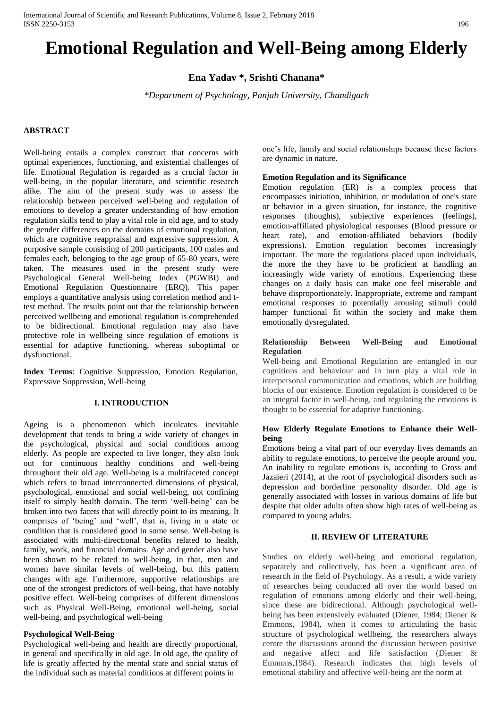# **Emotional Regulation and Well-Being among Elderly**

**Ena Yadav \*, Srishti Chanana\***

*\*Department of Psychology, Panjab University, Chandigarh*

# **ABSTRACT**

Well-being entails a complex construct that concerns with optimal experiences, functioning, and existential challenges of life. Emotional Regulation is regarded as a crucial factor in well-being, in the popular literature, and scientific research alike. The aim of the present study was to assess the relationship between perceived well-being and regulation of emotions to develop a greater understanding of how emotion regulation skills tend to play a vital role in old age, and to study the gender differences on the domains of emotional regulation, which are cognitive reappraisal and expressive suppression. A purposive sample consisting of 200 participants, 100 males and females each, belonging to the age group of 65-80 years, were taken. The measures used in the present study were Psychological General Well-being Index (PGWBI) and Emotional Regulation Questionnaire (ERQ). This paper employs a quantitative analysis using correlation method and ttest method. The results point out that the relationship between perceived wellbeing and emotional regulation is comprehended to be bidirectional. Emotional regulation may also have protective role in wellbeing since regulation of emotions is essential for adaptive functioning, whereas suboptimal or dysfunctional.

**Index Terms**: Cognitive Suppression, Emotion Regulation, Expressive Suppression, Well-being

## **I. INTRODUCTION**

Ageing is a phenomenon which inculcates inevitable development that tends to bring a wide variety of changes in the psychological, physical and social conditions among elderly. As people are expected to live longer, they also look out for continuous healthy conditions and well-being throughout their old age. Well-being is a multifaceted concept which refers to broad interconnected dimensions of physical, psychological, emotional and social well-being, not confining itself to simply health domain. The term 'well-being' can be broken into two facets that will directly point to its meaning. It comprises of 'being' and 'well', that is, living in a state or condition that is considered good in some sense. Well-being is associated with multi-directional benefits related to health, family, work, and financial domains. Age and gender also have been shown to be related to well-being, in that, men and women have similar levels of well-being, but this pattern changes with age. Furthermore, supportive relationships are one of the strongest predictors of well-being, that have notably positive effect. Well-being comprises of different dimensions such as Physical Well-Being, emotional well-being, social well-being, and psychological well-being

# **Psychological Well-Being**

Psychological well-being and health are directly proportional, in general and specifically in old age. In old age, the quality of life is greatly affected by the mental state and social status of the individual such as material conditions at different points in

one's life, family and social relationships because these factors are dynamic in nature.

#### **Emotion Regulation and its Significance**

Emotion regulation (ER) is a complex process that encompasses initiation, inhibition, or modulation of one's state or behavior in a given situation, for instance, the cognitive responses (thoughts), subjective experiences (feelings), emotion-affiliated physiological responses (Blood pressure or heart rate), and emotion-affiliated behaviors (bodily expressions). Emotion regulation becomes increasingly important. The more the regulations placed upon individuals, the more the they have to be proficient at handling an increasingly wide variety of emotions. Experiencing these changes on a daily basis can make one feel miserable and behave disproportionately. Inappropriate, extreme and rampant emotional responses to potentially arousing stimuli could hamper functional fit within the society and make them emotionally dysregulated.

## **Relationship Between Well-Being and Emotional Regulation**

Well-being and Emotional Regulation are entangled in our cognitions and behaviour and in turn play a vital role in interpersonal communication and emotions, which are building blocks of our existence. Emotion regulation is considered to be an integral factor in well-being, and regulating the emotions is thought to be essential for adaptive functioning.

# **How Elderly Regulate Emotions to Enhance their Wellbeing**

Emotions being a vital part of our everyday lives demands an ability to regulate emotions, to perceive the people around you. An inability to regulate emotions is, according to Gross and Jazaieri (2014), at the root of psychological disorders such as [depression a](https://www.psychologytoday.com/basics/depression)nd [borderline personality disorder. O](https://www.psychologytoday.com/blog/fulfillment-any-age/201212/what-you-need-know-about-borderline-personality-disorder)ld age is generally associated with losses in various domains of life but despite that older adults often show high rates of well-being as compared to young adults.

# **II. REVIEW OF LITERATURE**

Studies on elderly well-being and emotional regulation, separately and collectively, has been a significant area of research in the field of Psychology. As a result, a wide variety of researches being conducted all over the world based on regulation of emotions among elderly and their well-being, since these are bidirectional. Although psychological wellbeing has been extensively evaluated (Diener, 1984; Diener & Emmons, 1984), when it comes to articulating the basic structure of psychological wellbeing, the researchers always centre the discussions around the discussion between positive and negative affect and life satisfaction (Diener & Emmons,1984). Research indicates that high levels of emotional stability and affective well-being are the norm at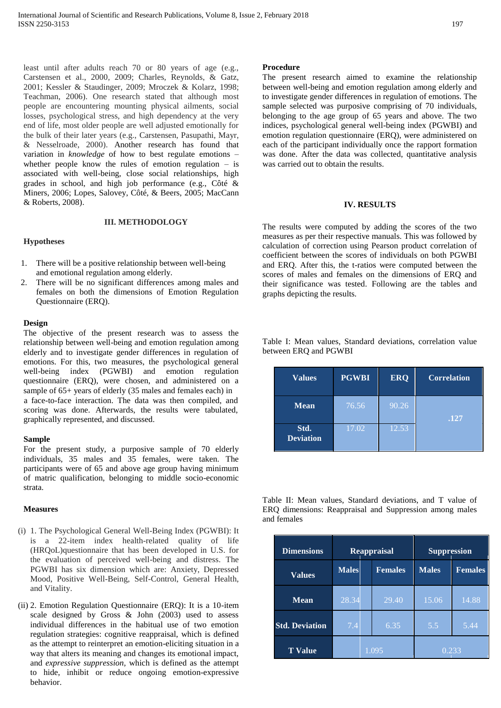least until after adults reach 70 or 80 years of age (e.g., Carstensen et al., 2000, 2009; Charles, Reynolds, & Gatz, 2001; Kessler & Staudinger, 2009; Mroczek & Kolarz, 1998; Teachman, 2006). One research stated that although most people are encountering mounting physical ailments, social losses, psychological stress, and high dependency at the very end of life, most older people are well adjusted emotionally for the bulk of their later years (e.g., Carstensen, Pasupathi, Mayr, & Nesselroade, 2000). Another research has found that variation in *knowledge* of how to best regulate emotions – whether people know the rules of emotion regulation  $-$  is associated with well-being, close social relationships, high grades in school, and high job performance (e.g., [Côté &](https://www.ncbi.nlm.nih.gov/pmc/articles/PMC4175372/#R13)  [Miners, 2006;](https://www.ncbi.nlm.nih.gov/pmc/articles/PMC4175372/#R13) [Lopes, Salovey, Côté, & Beers,](https://www.ncbi.nlm.nih.gov/pmc/articles/PMC4175372/#R43) [2005;](https://www.ncbi.nlm.nih.gov/pmc/articles/PMC4175372/#R43) [MacCann](https://www.ncbi.nlm.nih.gov/pmc/articles/PMC4175372/#R44)  [& Roberts, 2008\).](https://www.ncbi.nlm.nih.gov/pmc/articles/PMC4175372/#R44)

#### **III. METHODOLOGY**

## **Hypotheses**

- 1. There will be a positive relationship between well-being and emotional regulation among elderly.
- 2. There will be no significant differences among males and females on both the dimensions of Emotion Regulation Questionnaire (ERQ).

#### **Design**

The objective of the present research was to assess the relationship between well-being and emotion regulation among elderly and to investigate gender differences in regulation of emotions. For this, two measures, the psychological general well-being index (PGWBI) and emotion regulation questionnaire (ERQ), were chosen, and administered on a sample of 65+ years of elderly (35 males and females each) in a face-to-face interaction. The data was then compiled, and scoring was done. Afterwards, the results were tabulated, graphically represented, and discussed.

#### **Sample**

For the present study, a purposive sample of 70 elderly individuals, 35 males and 35 females, were taken. The participants were of 65 and above age group having minimum of matric qualification, belonging to middle socio-economic strata.

#### **Measures**

- (i) 1. The Psychological General Well-Being Index (PGWBI): It is a 22-item index health-related quality of life (HRQoL)questionnaire that has been developed in U.S. for the evaluation of perceived well-being and distress. The PGWBI has six dimension which are: Anxiety, Depressed Mood, Positive Well-Being, Self-Control, General Health, and Vitality.
- (ii) 2. Emotion Regulation Questionnaire (ERQ): It is a 10-item scale designed by Gross & John (2003) used to assess individual differences in the habitual use of two emotion regulation strategies: cognitive reappraisal, which is defined as the attempt to reinterpret an emotion-eliciting situation in a way that alters its meaning and changes its emotional impact, and *expressive suppression,* which is defined as the attempt to hide, inhibit or reduce ongoing emotion-expressive behavior.

#### **Procedure**

The present research aimed to examine the relationship between well-being and emotion regulation among elderly and to investigate gender differences in regulation of emotions. The sample selected was purposive comprising of 70 individuals, belonging to the age group of 65 years and above. The two indices, psychological general well-being index (PGWBI) and emotion regulation questionnaire (ERQ), were administered on each of the participant individually once the rapport formation was done. After the data was collected, quantitative analysis was carried out to obtain the results.

#### **IV. RESULTS**

The results were computed by adding the scores of the two measures as per their respective manuals. This was followed by calculation of correction using Pearson product correlation of coefficient between the scores of individuals on both PGWBI and ERQ. After this, the t-ratios were computed between the scores of males and females on the dimensions of ERQ and their significance was tested. Following are the tables and graphs depicting the results.

| <b>Values</b>            | <b>PGWBI</b> | <b>ERQ</b> | <b>Correlation</b> |
|--------------------------|--------------|------------|--------------------|
| <b>Mean</b>              | 76.56        | 90.26      | .127               |
| Std.<br><b>Deviation</b> | 17.02        | 12.53      |                    |

Table I: Mean values, Standard deviations, correlation value between ERQ and PGWBI

Table II: Mean values, Standard deviations, and T value of ERQ dimensions: Reappraisal and Suppression among males and females

| <b>Dimensions</b>     | <b>Reappraisal</b> |  | <b>Suppression</b> |              |                |
|-----------------------|--------------------|--|--------------------|--------------|----------------|
| <b>Values</b>         | <b>Males</b>       |  | <b>Females</b>     | <b>Males</b> | <b>Females</b> |
| <b>Mean</b>           | 28.34              |  | 29.40              | 15.06        | 14.88          |
| <b>Std. Deviation</b> | 7.4                |  | 6.35               | 5.5          | 5.44           |
| <b>T</b> Value        | 1.095              |  | 0.233              |              |                |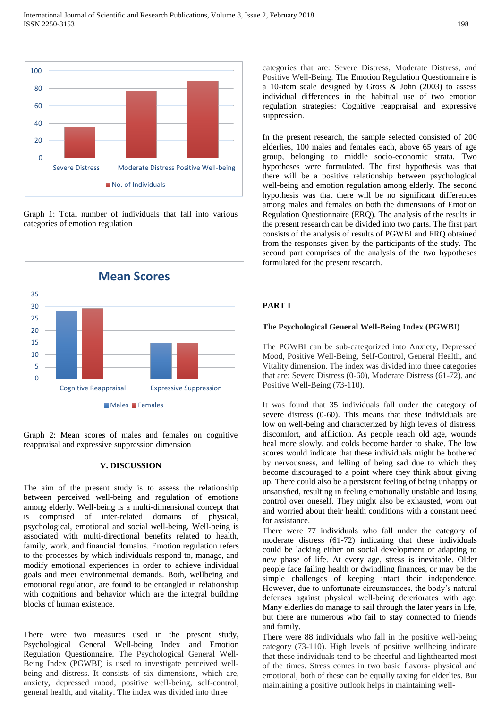

Graph 1: Total number of individuals that fall into various categories of emotion regulation



Graph 2: Mean scores of males and females on cognitive reappraisal and expressive suppression dimension

## **V. DISCUSSION**

The aim of the present study is to assess the relationship between perceived well-being and regulation of emotions among elderly. Well-being is a multi-dimensional concept that is comprised of inter-related domains of physical, psychological, emotional and social well-being. Well-being is associated with multi-directional benefits related to health, family, work, and financial domains. Emotion regulation refers to the processes by which individuals respond to, manage, and modify emotional experiences in order to achieve individual goals and meet environmental demands. Both, wellbeing and emotional regulation, are found to be entangled in relationship with cognitions and behavior which are the integral building blocks of human existence.

There were two measures used in the present study, Psychological General Well-being Index and Emotion Regulation Questionnaire. The Psychological General Well-Being Index (PGWBI) is used to investigate perceived wellbeing and distress. It consists of six dimensions, which are, anxiety, depressed mood, positive well-being, self-control, general health, and vitality. The index was divided into three

categories that are: Severe Distress, Moderate Distress, and Positive Well-Being. The Emotion Regulation Questionnaire is a 10-item scale designed by Gross & John (2003) to assess individual differences in the habitual use of two emotion regulation strategies: Cognitive reappraisal and expressive suppression.

In the present research, the sample selected consisted of 200 elderlies, 100 males and females each, above 65 years of age group, belonging to middle socio-economic strata. Two hypotheses were formulated. The first hypothesis was that there will be a positive relationship between psychological well-being and emotion regulation among elderly. The second hypothesis was that there will be no significant differences among males and females on both the dimensions of Emotion Regulation Questionnaire (ERQ). The analysis of the results in the present research can be divided into two parts. The first part consists of the analysis of results of PGWBI and ERQ obtained from the responses given by the participants of the study. The second part comprises of the analysis of the two hypotheses formulated for the present research.

## **PART I**

## **The Psychological General Well-Being Index (PGWBI)**

The PGWBI can be sub-categorized into Anxiety, Depressed Mood, Positive Well-Being, Self-Control, General Health, and Vitality dimension. The index was divided into three categories that are: Severe Distress (0-60), Moderate Distress (61-72), and Positive Well-Being (73-110).

It was found that 35 individuals fall under the category of severe distress (0-60). This means that these individuals are low on well-being and characterized by high levels of distress, discomfort, and affliction. As people reach old age, wounds heal more slowly, and colds become harder to shake. The low scores would indicate that these individuals might be bothered by nervousness, and felling of being sad due to which they become discouraged to a point where they think about giving up. There could also be a persistent feeling of being unhappy or unsatisfied, resulting in feeling emotionally unstable and losing control over oneself. They might also be exhausted, worn out and worried about their health conditions with a constant need for assistance.

There were 77 individuals who fall under the category of moderate distress (61-72) indicating that these individuals could be lacking either on social development or adapting to new phase of life. At every age, stress is inevitable. Older people face failing health or dwindling finances, or may be the simple challenges of keeping intact their independence. However, due to unfortunate circumstances, the body's natural defenses against physical well-being deteriorates with age. Many elderlies do manage to sail through the later years in life, but there are numerous who fail to stay connected to friends and family.

There were 88 individuals who fall in the positive well-being category (73-110). High levels of positive wellbeing indicate that these individuals tend to be cheerful and lighthearted most of the times. Stress comes in two basic flavors- physical and emotional, both of these can be equally taxing for elderlies. But maintaining a positive outlook helps in maintaining well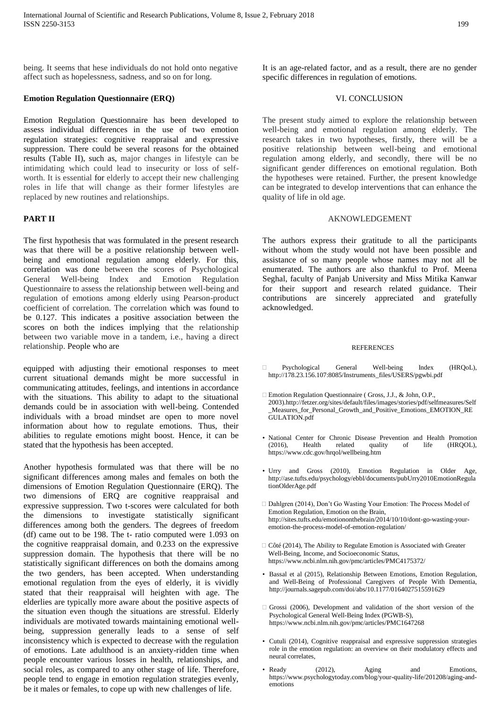being. It seems that hese individuals do not hold onto negative affect such as hopelessness, sadness, and so on for long.

## **Emotion Regulation Questionnaire (ERQ)**

Emotion Regulation Questionnaire has been developed to assess individual differences in the use of two emotion regulation strategies: cognitive reappraisal and expressive suppression. There could be several reasons for the obtained results (Table II), such as, major changes in lifestyle can be intimidating which could lead to insecurity or loss of selfworth. It is essential for elderly to accept their new challenging roles in life that will change as their former lifestyles are replaced by new routines and relationships.

# **PART II**

The first hypothesis that was formulated in the present research was that there will be a positive relationship between wellbeing and emotional regulation among elderly. For this, correlation was done between the scores of Psychological General Well-being Index and Emotion Regulation Questionnaire to assess the relationship between well-being and regulation of emotions among elderly using Pearson-product coefficient of correlation. The correlation which was found to be 0.127. This indicates a positive association between the scores on both the indices implying that the relationship between two variable move in a tandem, i.e., having a direct relationship. People who are

equipped with adjusting their emotional responses to meet current situational demands might be more successful in communicating attitudes, feelings, and intentions in accordance with the situations. This ability to adapt to the situational demands could be in association with well-being. Contended individuals with a broad mindset are open to more novel information about how to regulate emotions. Thus, their abilities to regulate emotions might boost. Hence, it can be stated that the hypothesis has been accepted.

Another hypothesis formulated was that there will be no significant differences among males and females on both the dimensions of Emotion Regulation Questionnaire (ERQ). The two dimensions of ERQ are cognitive reappraisal and expressive suppression. Two t-scores were calculated for both the dimensions to investigate statistically significant differences among both the genders. The degrees of freedom (df) came out to be 198. The t- ratio computed were 1.093 on the cognitive reappraisal domain, and 0.233 on the expressive suppression domain. The hypothesis that there will be no statistically significant differences on both the domains among the two genders, has been accepted. When understanding emotional regulation from the eyes of elderly, it is vividly stated that their reappraisal will heighten with age. The elderlies are typically more aware about the positive aspects of the situation even though the situations are stressful. Elderly individuals are motivated towards maintaining emotional wellbeing, suppression generally leads to a sense of self inconsistency which is expected to decrease with the regulation of emotions. Late adulthood is an anxiety-ridden time when people encounter various losses in health, relationships, and social roles, as compared to any other stage of life. Therefore, people tend to engage in emotion regulation strategies evenly, be it males or females, to cope up with new challenges of life.

It is an age-related factor, and as a result, there are no gender specific differences in regulation of emotions.

## VI. CONCLUSION

The present study aimed to explore the relationship between well-being and emotional regulation among elderly. The research takes in two hypotheses, firstly, there will be a positive relationship between well-being and emotional regulation among elderly, and secondly, there will be no significant gender differences on emotional regulation. Both the hypotheses were retained. Further, the present knowledge can be integrated to develop interventions that can enhance the quality of life in old age.

#### AKNOWLEDGEMENT

The authors express their gratitude to all the participants without whom the study would not have been possible and assistance of so many people whose names may not all be enumerated. The authors are also thankful to Prof. Meena Seghal, faculty of Panjab University and Miss Mitika Kanwar for their support and research related guidance. Their contributions are sincerely appreciated and gratefully acknowledged.

#### **REFERENCES**

- Psychological General Well-being Index (HRQoL), [http://178.23.156.107:8085/Instruments\\_files/USERS/pgwbi.pdf](http://178.23.156.107:8085/Instruments_files/USERS/pgwbi.pdf)
- □ Emotion Regulation Questionnaire ( Gross, J.J., & John, O.P., 2003).http://fetzer.org/sites/default/files/images/stories/pdf/selfmeasures/Self \_Measures\_for\_Personal\_Growth\_and\_Positive\_Emotions\_EMOTION\_RE GULATION.pdf
- [National Center for Chronic Disease Prevention and Health](https://www.cdc.gov/chronicdisease) [Promotion](https://www.cdc.gov/chronicdisease)  (2016), Health related quality of life (HRQOL), <https://www.cdc.gov/hrqol/wellbeing.htm>
- Urry and Gross (2010), Emotion Regulation in Older Age, [http://ase.tufts.edu/psychology/ebbl/documents/pubUrry2010EmotionRegula](http://ase.tufts.edu/psychology/ebbl/documents/pubUrry2010EmotionRegulationOlderAge.pdf) [tionOlderAge.pdf](http://ase.tufts.edu/psychology/ebbl/documents/pubUrry2010EmotionRegulationOlderAge.pdf)
- Dahlgren (2014), Don't Go Wasting Your Emotion: The Process Model of Emotion Regulation[, Emotion on the Brain,](http://sites.tufts.edu/emotiononthebrain/) http://sites.tufts.edu/emotiononthebrain/2014/10/10/dont-go-wasting-youremotion-the-process-model-of-emotion-regulation/
- $\Box$  Côté (2014), The Ability to Regulate Emotion is Associated with Greater Well-Being, Income, and Socioeconomic Status, <https://www.ncbi.nlm.nih.gov/pmc/articles/PMC4175372/>
- [Bassal e](http://journals.sagepub.com/author/Bassal%2C+Catherine)t al (2015), Relationship Between Emotions, Emotion Regulation, and Well-Being of Professional Caregivers of People With Dementia, http://journals.sagepub.com/doi/abs/10.1177/0164027515591629
- Grossi (2006), Development and validation of the short version of the Psychological General Well-Being Index (PGWB-S), <https://www.ncbi.nlm.nih.gov/pmc/articles/PMC1647268>
- [Cutuli \(](https://www.ncbi.nlm.nih.gov/pubmed/?term=Cutuli%20D%5BAuthor%5D&cauthor=true&cauthor_uid=25285072)2014), Cognitive reappraisal and expressive suppression strategies role in the emotion regulation: an overview on their modulatory effects and neural correlates,
- Ready (2012), Aging and Emotions, [https://www.psychologytoday.com/blog/your-quality-life/201208/aging-and](https://www.psychologytoday.com/blog/your-quality-life/201208/aging-and-emotions)[emotions](https://www.psychologytoday.com/blog/your-quality-life/201208/aging-and-emotions)